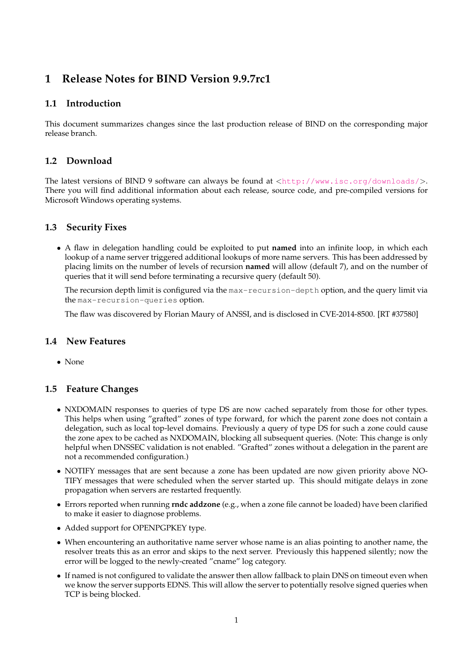# **1 Release Notes for BIND Version 9.9.7rc1**

## **1.1 Introduction**

This document summarizes changes since the last production release of BIND on the corresponding major release branch.

## **1.2 Download**

The latest versions of BIND 9 software can always be found at  $\langle \text{http://www.isc.org/downloads/}>$  $\langle \text{http://www.isc.org/downloads/}>$  $\langle \text{http://www.isc.org/downloads/}>$ . There you will find additional information about each release, source code, and pre-compiled versions for Microsoft Windows operating systems.

## **1.3 Security Fixes**

• A flaw in delegation handling could be exploited to put **named** into an infinite loop, in which each lookup of a name server triggered additional lookups of more name servers. This has been addressed by placing limits on the number of levels of recursion **named** will allow (default 7), and on the number of queries that it will send before terminating a recursive query (default 50).

The recursion depth limit is configured via the max-recursion-depth option, and the query limit via the max-recursion-queries option.

The flaw was discovered by Florian Maury of ANSSI, and is disclosed in CVE-2014-8500. [RT #37580]

#### **1.4 New Features**

• None

#### **1.5 Feature Changes**

- NXDOMAIN responses to queries of type DS are now cached separately from those for other types. This helps when using "grafted" zones of type forward, for which the parent zone does not contain a delegation, such as local top-level domains. Previously a query of type DS for such a zone could cause the zone apex to be cached as NXDOMAIN, blocking all subsequent queries. (Note: This change is only helpful when DNSSEC validation is not enabled. "Grafted" zones without a delegation in the parent are not a recommended configuration.)
- NOTIFY messages that are sent because a zone has been updated are now given priority above NO-TIFY messages that were scheduled when the server started up. This should mitigate delays in zone propagation when servers are restarted frequently.
- Errors reported when running **rndc addzone** (e.g., when a zone file cannot be loaded) have been clarified to make it easier to diagnose problems.
- Added support for OPENPGPKEY type.
- When encountering an authoritative name server whose name is an alias pointing to another name, the resolver treats this as an error and skips to the next server. Previously this happened silently; now the error will be logged to the newly-created "cname" log category.
- If named is not configured to validate the answer then allow fallback to plain DNS on timeout even when we know the server supports EDNS. This will allow the server to potentially resolve signed queries when TCP is being blocked.